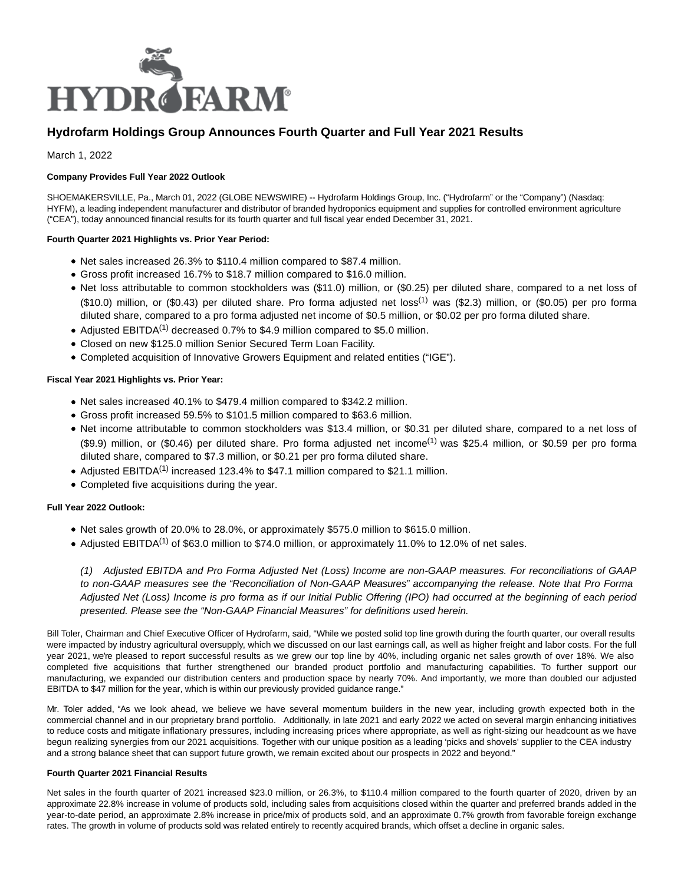

# **Hydrofarm Holdings Group Announces Fourth Quarter and Full Year 2021 Results**

March 1, 2022

# **Company Provides Full Year 2022 Outlook**

SHOEMAKERSVILLE, Pa., March 01, 2022 (GLOBE NEWSWIRE) -- Hydrofarm Holdings Group, Inc. ("Hydrofarm" or the "Company") (Nasdaq: HYFM), a leading independent manufacturer and distributor of branded hydroponics equipment and supplies for controlled environment agriculture ("CEA"), today announced financial results for its fourth quarter and full fiscal year ended December 31, 2021.

## **Fourth Quarter 2021 Highlights vs. Prior Year Period:**

- Net sales increased 26.3% to \$110.4 million compared to \$87.4 million.
- Gross profit increased 16.7% to \$18.7 million compared to \$16.0 million.
- Net loss attributable to common stockholders was (\$11.0) million, or (\$0.25) per diluted share, compared to a net loss of (\$10.0) million, or (\$0.43) per diluted share. Pro forma adjusted net loss(1) was (\$2.3) million, or (\$0.05) per pro forma diluted share, compared to a pro forma adjusted net income of \$0.5 million, or \$0.02 per pro forma diluted share.
- Adjusted EBITDA<sup>(1)</sup> decreased 0.7% to \$4.9 million compared to \$5.0 million.
- Closed on new \$125.0 million Senior Secured Term Loan Facility.
- Completed acquisition of Innovative Growers Equipment and related entities ("IGE").

## **Fiscal Year 2021 Highlights vs. Prior Year:**

- Net sales increased 40.1% to \$479.4 million compared to \$342.2 million.
- Gross profit increased 59.5% to \$101.5 million compared to \$63.6 million.
- Net income attributable to common stockholders was \$13.4 million, or \$0.31 per diluted share, compared to a net loss of (\$9.9) million, or (\$0.46) per diluted share. Pro forma adjusted net income<sup>(1)</sup> was \$25.4 million, or \$0.59 per pro forma diluted share, compared to \$7.3 million, or \$0.21 per pro forma diluted share.
- Adjusted EBITDA<sup>(1)</sup> increased 123.4% to \$47.1 million compared to \$21.1 million.
- Completed five acquisitions during the year.

### **Full Year 2022 Outlook:**

- Net sales growth of 20.0% to 28.0%, or approximately \$575.0 million to \$615.0 million.
- Adjusted EBITDA<sup>(1)</sup> of \$63.0 million to \$74.0 million, or approximately 11.0% to 12.0% of net sales.

(1) Adjusted EBITDA and Pro Forma Adjusted Net (Loss) Income are non-GAAP measures. For reconciliations of GAAP to non-GAAP measures see the "Reconciliation of Non-GAAP Measures" accompanying the release. Note that Pro Forma Adjusted Net (Loss) Income is pro forma as if our Initial Public Offering (IPO) had occurred at the beginning of each period presented. Please see the "Non-GAAP Financial Measures" for definitions used herein.

Bill Toler, Chairman and Chief Executive Officer of Hydrofarm, said, "While we posted solid top line growth during the fourth quarter, our overall results were impacted by industry agricultural oversupply, which we discussed on our last earnings call, as well as higher freight and labor costs. For the full year 2021, we're pleased to report successful results as we grew our top line by 40%, including organic net sales growth of over 18%. We also completed five acquisitions that further strengthened our branded product portfolio and manufacturing capabilities. To further support our manufacturing, we expanded our distribution centers and production space by nearly 70%. And importantly, we more than doubled our adjusted EBITDA to \$47 million for the year, which is within our previously provided guidance range."

Mr. Toler added, "As we look ahead, we believe we have several momentum builders in the new year, including growth expected both in the commercial channel and in our proprietary brand portfolio. Additionally, in late 2021 and early 2022 we acted on several margin enhancing initiatives to reduce costs and mitigate inflationary pressures, including increasing prices where appropriate, as well as right-sizing our headcount as we have begun realizing synergies from our 2021 acquisitions. Together with our unique position as a leading 'picks and shovels' supplier to the CEA industry and a strong balance sheet that can support future growth, we remain excited about our prospects in 2022 and beyond."

## **Fourth Quarter 2021 Financial Results**

Net sales in the fourth quarter of 2021 increased \$23.0 million, or 26.3%, to \$110.4 million compared to the fourth quarter of 2020, driven by an approximate 22.8% increase in volume of products sold, including sales from acquisitions closed within the quarter and preferred brands added in the year-to-date period, an approximate 2.8% increase in price/mix of products sold, and an approximate 0.7% growth from favorable foreign exchange rates. The growth in volume of products sold was related entirely to recently acquired brands, which offset a decline in organic sales.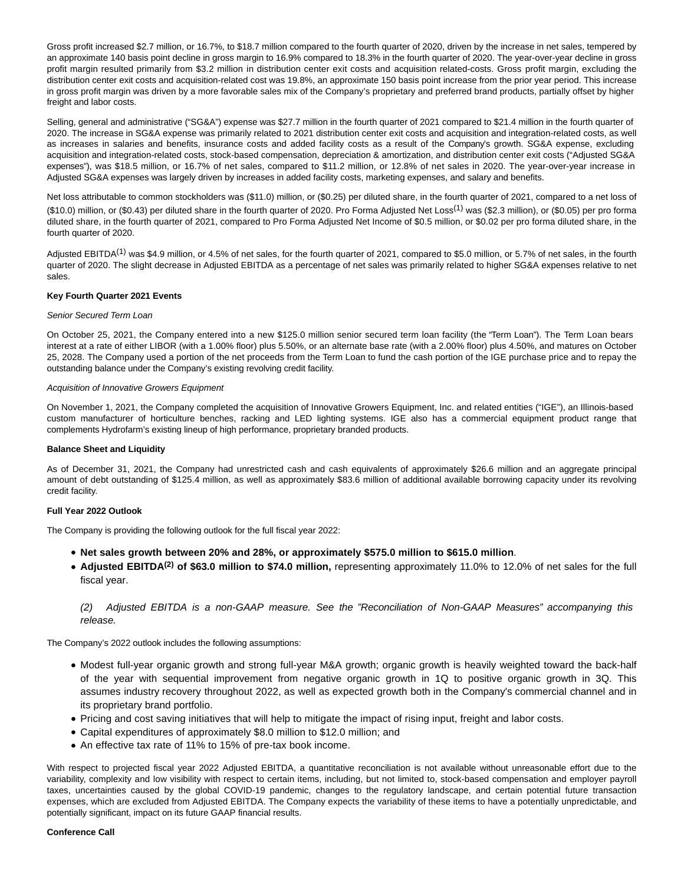Gross profit increased \$2.7 million, or 16.7%, to \$18.7 million compared to the fourth quarter of 2020, driven by the increase in net sales, tempered by an approximate 140 basis point decline in gross margin to 16.9% compared to 18.3% in the fourth quarter of 2020. The year-over-year decline in gross profit margin resulted primarily from \$3.2 million in distribution center exit costs and acquisition related-costs. Gross profit margin, excluding the distribution center exit costs and acquisition-related cost was 19.8%, an approximate 150 basis point increase from the prior year period. This increase in gross profit margin was driven by a more favorable sales mix of the Company's proprietary and preferred brand products, partially offset by higher freight and labor costs.

Selling, general and administrative ("SG&A") expense was \$27.7 million in the fourth quarter of 2021 compared to \$21.4 million in the fourth quarter of 2020. The increase in SG&A expense was primarily related to 2021 distribution center exit costs and acquisition and integration-related costs, as well as increases in salaries and benefits, insurance costs and added facility costs as a result of the Company's growth. SG&A expense, excluding acquisition and integration-related costs, stock-based compensation, depreciation & amortization, and distribution center exit costs ("Adjusted SG&A expenses"), was \$18.5 million, or 16.7% of net sales, compared to \$11.2 million, or 12.8% of net sales in 2020. The year-over-year increase in Adjusted SG&A expenses was largely driven by increases in added facility costs, marketing expenses, and salary and benefits.

Net loss attributable to common stockholders was (\$11.0) million, or (\$0.25) per diluted share, in the fourth quarter of 2021, compared to a net loss of (\$10.0) million, or (\$0.43) per diluted share in the fourth quarter of 2020. Pro Forma Adjusted Net Loss<sup>(1)</sup> was (\$2.3 million), or (\$0.05) per pro forma diluted share, in the fourth quarter of 2021, compared to Pro Forma Adjusted Net Income of \$0.5 million, or \$0.02 per pro forma diluted share, in the fourth quarter of 2020.

Adjusted EBITDA<sup>(1)</sup> was \$4.9 million, or 4.5% of net sales, for the fourth quarter of 2021, compared to \$5.0 million, or 5.7% of net sales, in the fourth quarter of 2020. The slight decrease in Adjusted EBITDA as a percentage of net sales was primarily related to higher SG&A expenses relative to net sales.

## **Key Fourth Quarter 2021 Events**

#### Senior Secured Term Loan

On October 25, 2021, the Company entered into a new \$125.0 million senior secured term loan facility (the "Term Loan"). The Term Loan bears interest at a rate of either LIBOR (with a 1.00% floor) plus 5.50%, or an alternate base rate (with a 2.00% floor) plus 4.50%, and matures on October 25, 2028. The Company used a portion of the net proceeds from the Term Loan to fund the cash portion of the IGE purchase price and to repay the outstanding balance under the Company's existing revolving credit facility.

#### Acquisition of Innovative Growers Equipment

On November 1, 2021, the Company completed the acquisition of Innovative Growers Equipment, Inc. and related entities ("IGE"), an Illinois-based custom manufacturer of horticulture benches, racking and LED lighting systems. IGE also has a commercial equipment product range that complements Hydrofarm's existing lineup of high performance, proprietary branded products.

#### **Balance Sheet and Liquidity**

As of December 31, 2021, the Company had unrestricted cash and cash equivalents of approximately \$26.6 million and an aggregate principal amount of debt outstanding of \$125.4 million, as well as approximately \$83.6 million of additional available borrowing capacity under its revolving credit facility.

## **Full Year 2022 Outlook**

The Company is providing the following outlook for the full fiscal year 2022:

- **Net sales growth between 20% and 28%, or approximately \$575.0 million to \$615.0 million**.
- **Adjusted EBITDA(2) of \$63.0 million to \$74.0 million,** representing approximately 11.0% to 12.0% of net sales for the full fiscal year.

# (2) Adjusted EBITDA is a non-GAAP measure. See the "Reconciliation of Non-GAAP Measures" accompanying this release.

The Company's 2022 outlook includes the following assumptions:

- Modest full-year organic growth and strong full-year M&A growth; organic growth is heavily weighted toward the back-half of the year with sequential improvement from negative organic growth in 1Q to positive organic growth in 3Q. This assumes industry recovery throughout 2022, as well as expected growth both in the Company's commercial channel and in its proprietary brand portfolio.
- Pricing and cost saving initiatives that will help to mitigate the impact of rising input, freight and labor costs.
- Capital expenditures of approximately \$8.0 million to \$12.0 million; and
- An effective tax rate of 11% to 15% of pre-tax book income.

With respect to projected fiscal year 2022 Adjusted EBITDA, a quantitative reconciliation is not available without unreasonable effort due to the variability, complexity and low visibility with respect to certain items, including, but not limited to, stock-based compensation and employer payroll taxes, uncertainties caused by the global COVID-19 pandemic, changes to the regulatory landscape, and certain potential future transaction expenses, which are excluded from Adjusted EBITDA. The Company expects the variability of these items to have a potentially unpredictable, and potentially significant, impact on its future GAAP financial results.

#### **Conference Call**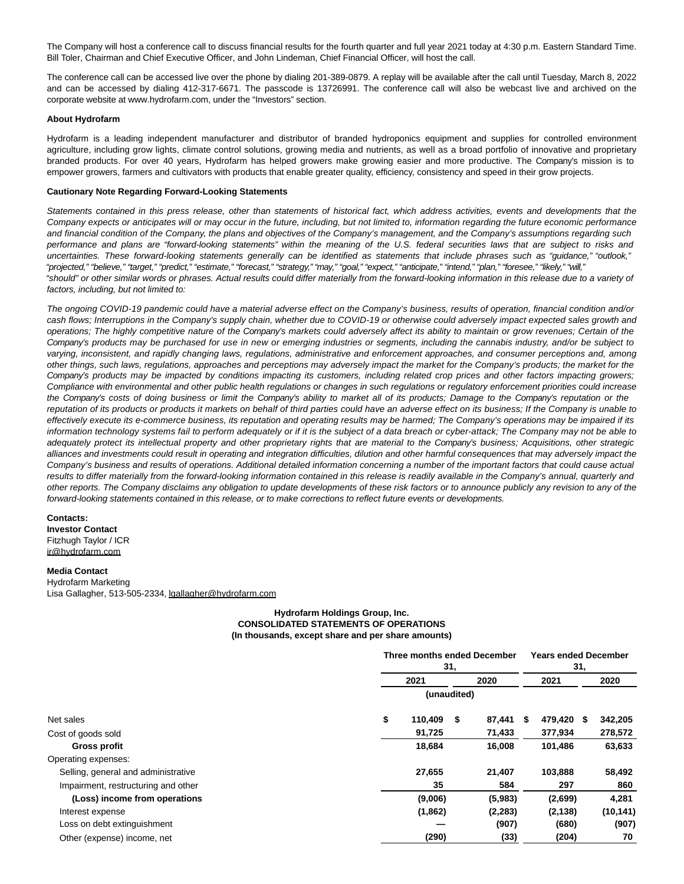The Company will host a conference call to discuss financial results for the fourth quarter and full year 2021 today at 4:30 p.m. Eastern Standard Time. Bill Toler, Chairman and Chief Executive Officer, and John Lindeman, Chief Financial Officer, will host the call.

The conference call can be accessed live over the phone by dialing 201-389-0879. A replay will be available after the call until Tuesday, March 8, 2022 and can be accessed by dialing 412-317-6671. The passcode is 13726991. The conference call will also be webcast live and archived on the corporate website at www.hydrofarm.com, under the "Investors" section.

#### **About Hydrofarm**

Hydrofarm is a leading independent manufacturer and distributor of branded hydroponics equipment and supplies for controlled environment agriculture, including grow lights, climate control solutions, growing media and nutrients, as well as a broad portfolio of innovative and proprietary branded products. For over 40 years, Hydrofarm has helped growers make growing easier and more productive. The Company's mission is to empower growers, farmers and cultivators with products that enable greater quality, efficiency, consistency and speed in their grow projects.

#### **Cautionary Note Regarding Forward-Looking Statements**

Statements contained in this press release, other than statements of historical fact, which address activities, events and developments that the Company expects or anticipates will or may occur in the future, including, but not limited to, information regarding the future economic performance and financial condition of the Company, the plans and objectives of the Company's management, and the Company's assumptions regarding such performance and plans are "forward-looking statements" within the meaning of the U.S. federal securities laws that are subject to risks and uncertainties. These forward-looking statements generally can be identified as statements that include phrases such as "guidance," "outlook," "projected," "believe," "target," "predict," "estimate," "forecast," "strategy," "may," "goal," "expect," "anticipate," "intend," "plan," "foresee," "likely," "will," "should" or other similar words or phrases. Actual results could differ materially from the forward-looking information in this release due to a variety of factors, including, but not limited to:

The ongoing COVID-19 pandemic could have a material adverse effect on the Company's business, results of operation, financial condition and/or cash flows; Interruptions in the Company's supply chain, whether due to COVID-19 or otherwise could adversely impact expected sales growth and operations; The highly competitive nature of the Company's markets could adversely affect its ability to maintain or grow revenues; Certain of the Company's products may be purchased for use in new or emerging industries or segments, including the cannabis industry, and/or be subject to varying, inconsistent, and rapidly changing laws, regulations, administrative and enforcement approaches, and consumer perceptions and, among other things, such laws, regulations, approaches and perceptions may adversely impact the market for the Company's products; the market for the Company's products may be impacted by conditions impacting its customers, including related crop prices and other factors impacting growers; Compliance with environmental and other public health regulations or changes in such regulations or regulatory enforcement priorities could increase the Company's costs of doing business or limit the Company's ability to market all of its products; Damage to the Company's reputation or the reputation of its products or products it markets on behalf of third parties could have an adverse effect on its business; If the Company is unable to effectively execute its e-commerce business, its reputation and operating results may be harmed; The Company's operations may be impaired if its information technology systems fail to perform adequately or if it is the subject of a data breach or cyber-attack; The Company may not be able to adequately protect its intellectual property and other proprietary rights that are material to the Company's business; Acquisitions, other strategic alliances and investments could result in operating and integration difficulties, dilution and other harmful consequences that may adversely impact the Company's business and results of operations. Additional detailed information concerning a number of the important factors that could cause actual results to differ materially from the forward-looking information contained in this release is readily available in the Company's annual, quarterly and other reports. The Company disclaims any obligation to update developments of these risk factors or to announce publicly any revision to any of the forward-looking statements contained in this release, or to make corrections to reflect future events or developments.

#### **Contacts:**

**Investor Contact** Fitzhugh Taylor / ICR ir@hydrofarm.com

#### **Media Contact**

Hydrofarm Marketing Lisa Gallagher, 513-505-2334, lgallagher@hydrofarm.com

## **Hydrofarm Holdings Group, Inc. CONSOLIDATED STATEMENTS OF OPERATIONS (In thousands, except share and per share amounts)**

|                                     | Three months ended December<br>31, |             |    |          |    |          | 31,  | <b>Years ended December</b> |  |
|-------------------------------------|------------------------------------|-------------|----|----------|----|----------|------|-----------------------------|--|
|                                     |                                    | 2021        |    |          |    | 2021     |      | 2020                        |  |
|                                     |                                    | (unaudited) |    |          |    |          |      |                             |  |
| Net sales                           | \$                                 | 110,409     | \$ | 87,441   | \$ | 479,420  | - \$ | 342,205                     |  |
| Cost of goods sold                  |                                    | 91,725      |    | 71,433   |    | 377,934  |      | 278,572                     |  |
| Gross profit                        |                                    | 18,684      |    | 16.008   |    | 101.486  |      | 63,633                      |  |
| Operating expenses:                 |                                    |             |    |          |    |          |      |                             |  |
| Selling, general and administrative |                                    | 27,655      |    | 21,407   |    | 103,888  |      | 58,492                      |  |
| Impairment, restructuring and other |                                    | 35          |    | 584      |    | 297      |      | 860                         |  |
| (Loss) income from operations       |                                    | (9,006)     |    | (5,983)  |    | (2,699)  |      | 4,281                       |  |
| Interest expense                    |                                    | (1,862)     |    | (2, 283) |    | (2, 138) |      | (10, 141)                   |  |
| Loss on debt extinguishment         |                                    |             |    | (907)    |    | (680)    |      | (907)                       |  |
| Other (expense) income, net         |                                    | (290)       |    | (33)     |    | (204)    |      | 70                          |  |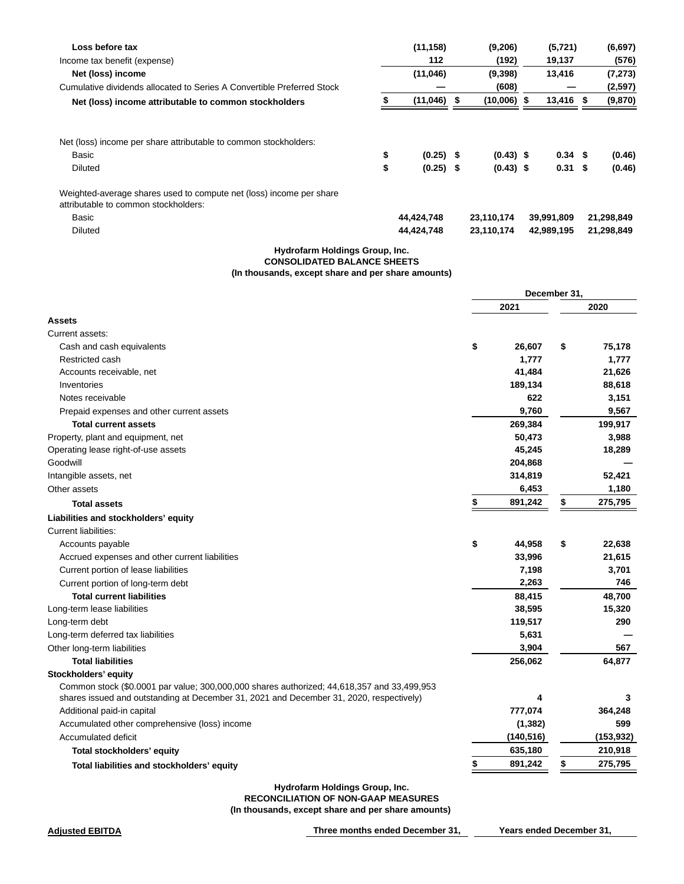| Loss before tax                                                                                             | (11, 158)         | (9,206)       | (5, 721)          | (6, 697)   |
|-------------------------------------------------------------------------------------------------------------|-------------------|---------------|-------------------|------------|
| Income tax benefit (expense)                                                                                | 112               | (192)         | 19,137            | (576)      |
| Net (loss) income                                                                                           | (11,046)          | (9,398)       | 13,416            | (7, 273)   |
| Cumulative dividends allocated to Series A Convertible Preferred Stock                                      |                   | (608)         |                   | (2,597)    |
| Net (loss) income attributable to common stockholders                                                       | (11, 046)         | $(10,006)$ \$ | 13,416            | (9,870)    |
| Net (loss) income per share attributable to common stockholders:                                            |                   |               |                   |            |
| Basic                                                                                                       | \$<br>$(0.25)$ \$ | $(0.43)$ \$   | 0.34 <sup>5</sup> | (0.46)     |
|                                                                                                             |                   |               |                   |            |
| <b>Diluted</b>                                                                                              | \$<br>$(0.25)$ \$ | $(0.43)$ \$   | $0.31 \quad $$    | (0.46)     |
| Weighted-average shares used to compute net (loss) income per share<br>attributable to common stockholders: |                   |               |                   |            |
| Basic                                                                                                       | 44,424,748        | 23,110,174    | 39,991,809        | 21,298,849 |
| <b>Diluted</b>                                                                                              | 44,424,748        | 23,110,174    | 42,989,195        | 21,298,849 |

# **Hydrofarm Holdings Group, Inc. CONSOLIDATED BALANCE SHEETS (In thousands, except share and per share amounts)**

|                                                                                            | December 31, |            |    |            |
|--------------------------------------------------------------------------------------------|--------------|------------|----|------------|
|                                                                                            |              | 2021       |    | 2020       |
| <b>Assets</b>                                                                              |              |            |    |            |
| Current assets:                                                                            |              |            |    |            |
| Cash and cash equivalents                                                                  | \$           | 26,607     | \$ | 75,178     |
| Restricted cash                                                                            |              | 1,777      |    | 1,777      |
| Accounts receivable, net                                                                   |              | 41,484     |    | 21,626     |
| Inventories                                                                                |              | 189,134    |    | 88,618     |
| Notes receivable                                                                           |              | 622        |    | 3,151      |
| Prepaid expenses and other current assets                                                  |              | 9,760      |    | 9,567      |
| <b>Total current assets</b>                                                                |              | 269,384    |    | 199,917    |
| Property, plant and equipment, net                                                         |              | 50,473     |    | 3,988      |
| Operating lease right-of-use assets                                                        |              | 45,245     |    | 18,289     |
| Goodwill                                                                                   |              | 204,868    |    |            |
| Intangible assets, net                                                                     |              | 314,819    |    | 52,421     |
| Other assets                                                                               |              | 6,453      |    | 1,180      |
| <b>Total assets</b>                                                                        | \$           | 891,242    | \$ | 275,795    |
| Liabilities and stockholders' equity                                                       |              |            |    |            |
| <b>Current liabilities:</b>                                                                |              |            |    |            |
| Accounts payable                                                                           | \$           | 44,958     | \$ | 22,638     |
| Accrued expenses and other current liabilities                                             |              | 33,996     |    | 21,615     |
| Current portion of lease liabilities                                                       |              | 7,198      |    | 3,701      |
| Current portion of long-term debt                                                          |              | 2,263      |    | 746        |
| <b>Total current liabilities</b>                                                           |              | 88,415     |    | 48,700     |
| Long-term lease liabilities                                                                |              | 38,595     |    | 15,320     |
| Long-term debt                                                                             |              | 119,517    |    | 290        |
| Long-term deferred tax liabilities                                                         |              | 5,631      |    |            |
| Other long-term liabilities                                                                |              | 3,904      |    | 567        |
| <b>Total liabilities</b>                                                                   |              | 256,062    |    | 64,877     |
| Stockholders' equity                                                                       |              |            |    |            |
| Common stock (\$0.0001 par value; 300,000,000 shares authorized; 44,618,357 and 33,499,953 |              |            |    |            |
| shares issued and outstanding at December 31, 2021 and December 31, 2020, respectively)    |              | 4          |    | 3          |
| Additional paid-in capital                                                                 |              | 777,074    |    | 364,248    |
| Accumulated other comprehensive (loss) income                                              |              | (1, 382)   |    | 599        |
| Accumulated deficit                                                                        |              | (140, 516) |    | (153, 932) |
| Total stockholders' equity                                                                 |              | 635,180    |    | 210,918    |
| Total liabilities and stockholders' equity                                                 |              | 891,242    | \$ | 275,795    |
|                                                                                            |              |            |    |            |

**Hydrofarm Holdings Group, Inc.**

**RECONCILIATION OF NON-GAAP MEASURES**

**(In thousands, except share and per share amounts)** 

**Adjusted EBITDA Three months ended December 31, Years ended December 31,**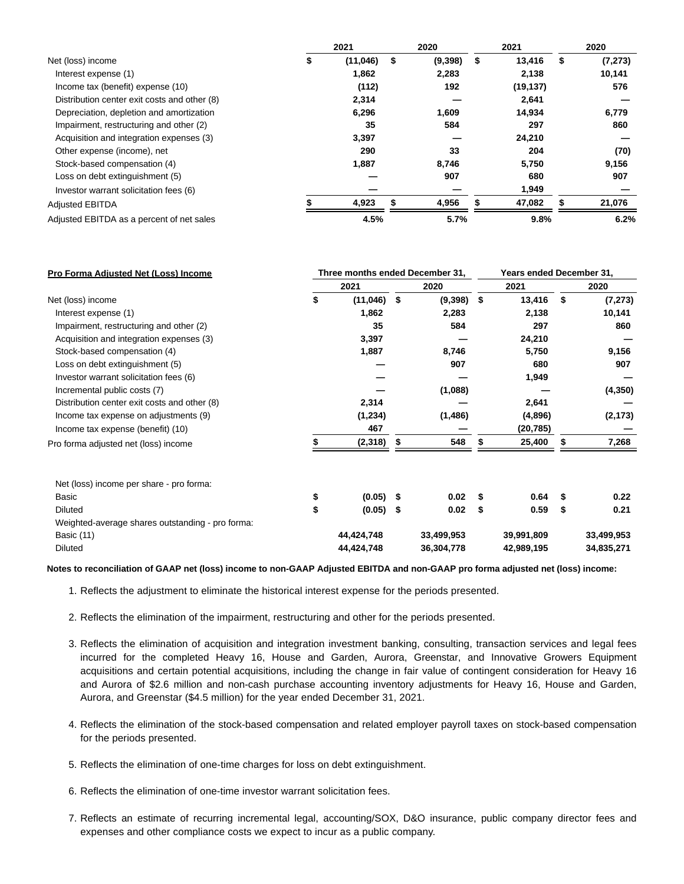|                                              | 2021     |    | 2020    |    | 2021      |   | 2020     |  |
|----------------------------------------------|----------|----|---------|----|-----------|---|----------|--|
| Net (loss) income                            | (11,046) | \$ | (9,398) | \$ | 13,416    | S | (7, 273) |  |
| Interest expense (1)                         | 1,862    |    | 2,283   |    | 2,138     |   | 10,141   |  |
| Income tax (benefit) expense (10)            | (112)    |    | 192     |    | (19, 137) |   | 576      |  |
| Distribution center exit costs and other (8) | 2,314    |    |         |    | 2,641     |   |          |  |
| Depreciation, depletion and amortization     | 6,296    |    | 1,609   |    | 14,934    |   | 6,779    |  |
| Impairment, restructuring and other (2)      | 35       |    | 584     |    | 297       |   | 860      |  |
| Acquisition and integration expenses (3)     | 3,397    |    |         |    | 24,210    |   |          |  |
| Other expense (income), net                  | 290      |    | 33      |    | 204       |   | (70)     |  |
| Stock-based compensation (4)                 | 1,887    |    | 8,746   |    | 5,750     |   | 9,156    |  |
| Loss on debt extinguishment (5)              |          |    | 907     |    | 680       |   | 907      |  |
| Investor warrant solicitation fees (6)       |          |    |         |    | 1,949     |   |          |  |
| <b>Adjusted EBITDA</b>                       | 4,923    |    | 4,956   |    | 47,082    |   | 21,076   |  |
| Adjusted EBITDA as a percent of net sales    | 4.5%     |    | 5.7%    |    | 9.8%      |   | 6.2%     |  |

| Pro Forma Adjusted Net (Loss) Income             | Three months ended December 31, |               |      |            |      | Years ended December 31, |      |            |  |  |
|--------------------------------------------------|---------------------------------|---------------|------|------------|------|--------------------------|------|------------|--|--|
|                                                  | 2021                            |               | 2020 |            | 2021 |                          | 2020 |            |  |  |
| Net (loss) income                                | \$                              | $(11,046)$ \$ |      | (9,398)    | \$   | 13,416                   | \$   | (7, 273)   |  |  |
| Interest expense (1)                             |                                 | 1,862         |      | 2,283      |      | 2,138                    |      | 10,141     |  |  |
| Impairment, restructuring and other (2)          |                                 | 35            |      | 584        |      | 297                      |      | 860        |  |  |
| Acquisition and integration expenses (3)         |                                 | 3,397         |      |            |      | 24,210                   |      |            |  |  |
| Stock-based compensation (4)                     |                                 | 1,887         |      | 8,746      |      | 5,750                    |      | 9,156      |  |  |
| Loss on debt extinguishment (5)                  |                                 |               |      | 907        |      | 680                      |      | 907        |  |  |
| Investor warrant solicitation fees (6)           |                                 |               |      |            |      | 1,949                    |      |            |  |  |
| Incremental public costs (7)                     |                                 |               |      | (1,088)    |      |                          |      | (4, 350)   |  |  |
| Distribution center exit costs and other (8)     |                                 | 2,314         |      |            |      | 2,641                    |      |            |  |  |
| Income tax expense on adjustments (9)            |                                 | (1,234)       |      | (1,486)    |      | (4,896)                  |      | (2, 173)   |  |  |
| Income tax expense (benefit) (10)                |                                 | 467           |      |            |      | (20, 785)                |      |            |  |  |
| Pro forma adjusted net (loss) income             |                                 | (2,318)       |      | 548        |      | 25,400                   |      | 7,268      |  |  |
| Net (loss) income per share - pro forma:         |                                 |               |      |            |      |                          |      |            |  |  |
| Basic                                            | \$                              | $(0.05)$ \$   |      | 0.02       | S    | 0.64                     | \$   | 0.22       |  |  |
| <b>Diluted</b>                                   | \$                              | $(0.05)$ \$   |      | 0.02       | \$   | 0.59                     | \$   | 0.21       |  |  |
| Weighted-average shares outstanding - pro forma: |                                 |               |      |            |      |                          |      |            |  |  |
| Basic (11)                                       |                                 | 44,424,748    |      | 33,499,953 |      | 39,991,809               |      | 33,499,953 |  |  |
| <b>Diluted</b>                                   |                                 | 44,424,748    |      | 36,304,778 |      | 42,989,195               |      | 34,835,271 |  |  |

**Notes to reconciliation of GAAP net (loss) income to non-GAAP Adjusted EBITDA and non-GAAP pro forma adjusted net (loss) income:**

- 1. Reflects the adjustment to eliminate the historical interest expense for the periods presented.
- 2. Reflects the elimination of the impairment, restructuring and other for the periods presented.
- 3. Reflects the elimination of acquisition and integration investment banking, consulting, transaction services and legal fees incurred for the completed Heavy 16, House and Garden, Aurora, Greenstar, and Innovative Growers Equipment acquisitions and certain potential acquisitions, including the change in fair value of contingent consideration for Heavy 16 and Aurora of \$2.6 million and non-cash purchase accounting inventory adjustments for Heavy 16, House and Garden, Aurora, and Greenstar (\$4.5 million) for the year ended December 31, 2021.
- 4. Reflects the elimination of the stock-based compensation and related employer payroll taxes on stock-based compensation for the periods presented.
- 5. Reflects the elimination of one-time charges for loss on debt extinguishment.
- 6. Reflects the elimination of one-time investor warrant solicitation fees.
- Reflects an estimate of recurring incremental legal, accounting/SOX, D&O insurance, public company director fees and 7. expenses and other compliance costs we expect to incur as a public company.